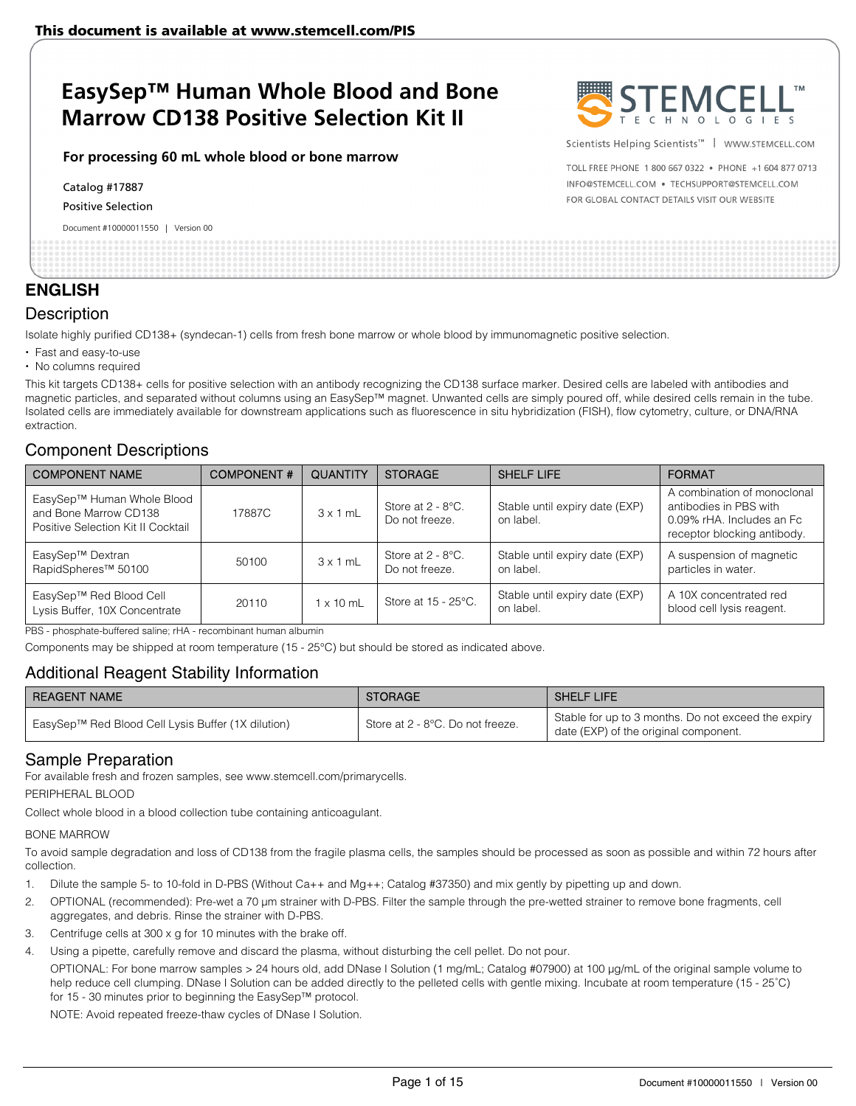#### **For processing 60 mL whole blood or bone marrow**

Catalog #17887

Positive Selection

Document #10000011550 | Version 00



Scientists Helping Scientists<sup>™</sup> | WWW.STEMCELL.COM

TOLL FREE PHONE 1 800 667 0322 . PHONE +1 604 877 0713 INFO@STEMCELL.COM . TECHSUPPORT@STEMCELL.COM FOR GLOBAL CONTACT DETAILS VISIT OUR WEBSITE

## **ENGLISH**

## **Description**

Isolate highly purified CD138+ (syndecan-1) cells from fresh bone marrow or whole blood by immunomagnetic positive selection.

- Fast and easy-to-use
- No columns required

This kit targets CD138+ cells for positive selection with an antibody recognizing the CD138 surface marker. Desired cells are labeled with antibodies and magnetic particles, and separated without columns using an EasySep™ magnet. Unwanted cells are simply poured off, while desired cells remain in the tube. Isolated cells are immediately available for downstream applications such as fluorescence in situ hybridization (FISH), flow cytometry, culture, or DNA/RNA extraction.

## Component Descriptions

| <b>COMPONENT NAME</b>                                                                     | <b>COMPONENT#</b> | <b>QUANTITY</b>  | <b>STORAGE</b>                         | <b>SHELF LIFE</b>                           | <b>FORMAT</b>                                                                                                     |
|-------------------------------------------------------------------------------------------|-------------------|------------------|----------------------------------------|---------------------------------------------|-------------------------------------------------------------------------------------------------------------------|
| EasySep™ Human Whole Blood<br>and Bone Marrow CD138<br>Positive Selection Kit II Cocktail | 17887C            | $3 \times 1$ mL  | Store at $2 - 8$ °C.<br>Do not freeze. | Stable until expiry date (EXP)<br>on label. | A combination of monoclonal<br>antibodies in PBS with<br>0.09% rHA. Includes an Fc<br>receptor blocking antibody. |
| EasySep™ Dextran<br>RapidSpheres <sup>™</sup> 50100                                       | 50100             | $3 \times 1$ mL  | Store at $2 - 8$ °C.<br>Do not freeze. | Stable until expiry date (EXP)<br>on label. | A suspension of magnetic<br>particles in water.                                                                   |
| EasySep™ Red Blood Cell<br>Lysis Buffer, 10X Concentrate                                  | 20110             | $1 \times 10$ mL | Store at 15 - 25°C.                    | Stable until expiry date (EXP)<br>on label. | A 10X concentrated red<br>blood cell lysis reagent.                                                               |

PBS - phosphate-buffered saline; rHA - recombinant human albumin

Components may be shipped at room temperature (15 - 25°C) but should be stored as indicated above.

## Additional Reagent Stability Information

| <b>REAGENT NAME</b>                                | <b>STORAGE</b>                   | <b>SHELF LIFE</b>                                                                            |
|----------------------------------------------------|----------------------------------|----------------------------------------------------------------------------------------------|
| EasySep™ Red Blood Cell Lysis Buffer (1X dilution) | Store at 2 - 8°C. Do not freeze. | Stable for up to 3 months. Do not exceed the expiry<br>date (EXP) of the original component. |

## Sample Preparation

For available fresh and frozen samples, see www.stemcell.com/primarycells.

PERIPHERAL BLOOD

Collect whole blood in a blood collection tube containing anticoagulant.

#### BONE MARROW

To avoid sample degradation and loss of CD138 from the fragile plasma cells, the samples should be processed as soon as possible and within 72 hours after collection.

- 1. Dilute the sample 5- to 10-fold in D-PBS (Without Ca++ and Mg++; Catalog #37350) and mix gently by pipetting up and down.
- 2. OPTIONAL (recommended): Pre-wet a 70 μm strainer with D-PBS. Filter the sample through the pre-wetted strainer to remove bone fragments, cell aggregates, and debris. Rinse the strainer with D-PBS.
- 3. Centrifuge cells at 300 x g for 10 minutes with the brake off.
- Using a pipette, carefully remove and discard the plasma, without disturbing the cell pellet. Do not pour.

OPTIONAL: For bone marrow samples > 24 hours old, add DNase I Solution (1 mg/mL; Catalog #07900) at 100 μg/mL of the original sample volume to help reduce cell clumping. DNase I Solution can be added directly to the pelleted cells with gentle mixing. Incubate at room temperature (15 - 25°C) for 15 - 30 minutes prior to beginning the EasySep™ protocol.

NOTE: Avoid repeated freeze-thaw cycles of DNase I Solution.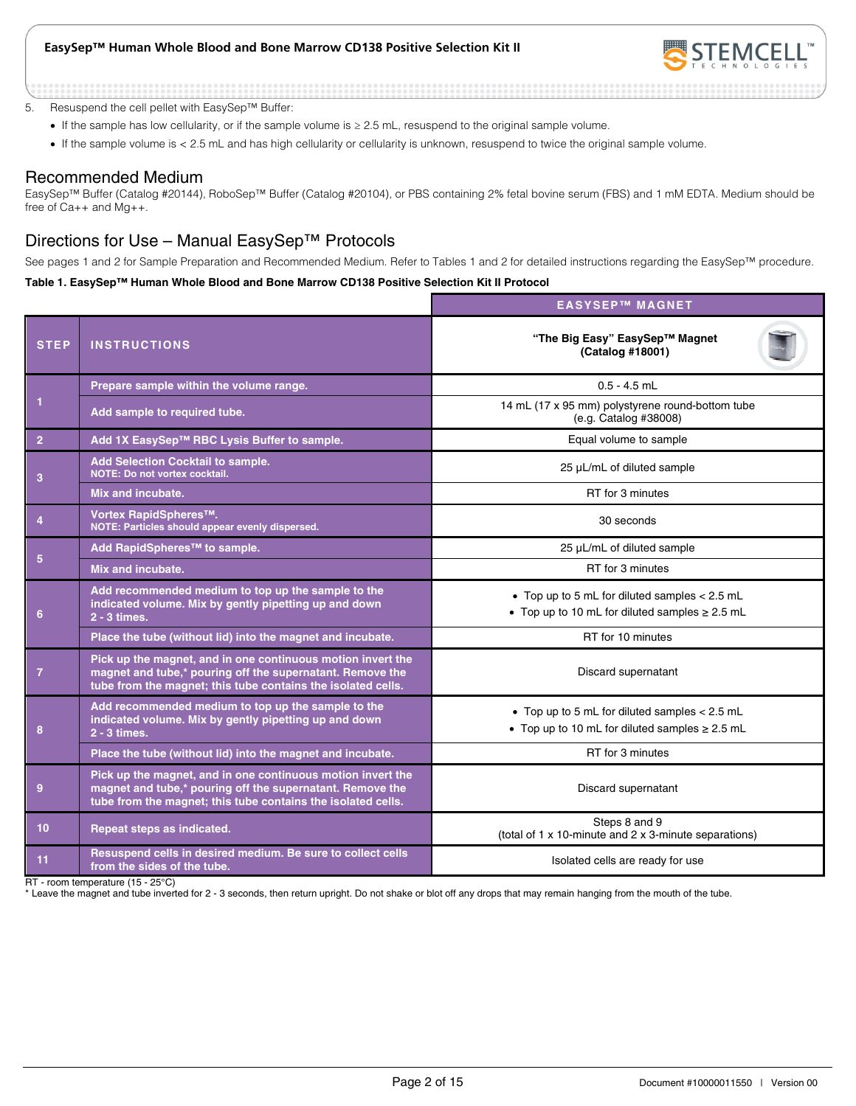

5. Resuspend the cell pellet with EasySep™ Buffer:

- If the sample has low cellularity, or if the sample volume is ≥ 2.5 mL, resuspend to the original sample volume.
- If the sample volume is < 2.5 mL and has high cellularity or cellularity is unknown, resuspend to twice the original sample volume.

## Recommended Medium

EasySep™ Buffer (Catalog #20144), RoboSep™ Buffer (Catalog #20104), or PBS containing 2% fetal bovine serum (FBS) and 1 mM EDTA. Medium should be free of Ca++ and Mg++.

## Directions for Use – Manual EasySep™ Protocols

See pages 1 and 2 for Sample Preparation and Recommended Medium. Refer to Tables 1 and 2 for detailed instructions regarding the EasySep™ procedure.

#### **Table 1. EasySep™ Human Whole Blood and Bone Marrow CD138 Positive Selection Kit II Protocol**

|                |                                                                                                                                                                                          | <b>EASYSEP™ MAGNET</b>                                                                                 |
|----------------|------------------------------------------------------------------------------------------------------------------------------------------------------------------------------------------|--------------------------------------------------------------------------------------------------------|
| <b>STEP</b>    | <b>INSTRUCTIONS</b>                                                                                                                                                                      | "The Big Easy" EasySep™ Magnet<br>(Catalog #18001)                                                     |
|                | Prepare sample within the volume range.                                                                                                                                                  | $0.5 - 4.5$ mL                                                                                         |
| 1              | Add sample to required tube.                                                                                                                                                             | 14 mL (17 x 95 mm) polystyrene round-bottom tube<br>(e.g. Catalog #38008)                              |
| $\overline{2}$ | Add 1X EasySep™ RBC Lysis Buffer to sample.                                                                                                                                              | Equal volume to sample                                                                                 |
| 3              | Add Selection Cocktail to sample.<br><b>NOTE: Do not vortex cocktail.</b>                                                                                                                | 25 µL/mL of diluted sample                                                                             |
|                | Mix and incubate.                                                                                                                                                                        | RT for 3 minutes                                                                                       |
| $\overline{4}$ | Vortex RapidSpheres™.<br>NOTE: Particles should appear evenly dispersed.                                                                                                                 | 30 seconds                                                                                             |
| 5              | Add RapidSpheres™ to sample.                                                                                                                                                             | 25 µL/mL of diluted sample                                                                             |
|                | Mix and incubate.                                                                                                                                                                        | RT for 3 minutes                                                                                       |
| 6              | Add recommended medium to top up the sample to the<br>indicated volume. Mix by gently pipetting up and down<br>$2 - 3$ times.                                                            | • Top up to 5 mL for diluted samples < 2.5 mL<br>• Top up to 10 mL for diluted samples $\geq$ 2.5 mL   |
|                | Place the tube (without lid) into the magnet and incubate.                                                                                                                               | RT for 10 minutes                                                                                      |
| $\overline{7}$ | Pick up the magnet, and in one continuous motion invert the<br>magnet and tube,* pouring off the supernatant. Remove the<br>tube from the magnet; this tube contains the isolated cells. | Discard supernatant                                                                                    |
| 8              | Add recommended medium to top up the sample to the<br>indicated volume. Mix by gently pipetting up and down<br>2 - 3 times.                                                              | • Top up to 5 mL for diluted samples $< 2.5$ mL<br>• Top up to 10 mL for diluted samples $\geq$ 2.5 mL |
|                | Place the tube (without lid) into the magnet and incubate.                                                                                                                               | RT for 3 minutes                                                                                       |
| 9              | Pick up the magnet, and in one continuous motion invert the<br>magnet and tube,* pouring off the supernatant. Remove the<br>tube from the magnet; this tube contains the isolated cells. | Discard supernatant                                                                                    |
| 10             | Repeat steps as indicated.                                                                                                                                                               | Steps 8 and 9<br>(total of 1 x 10-minute and 2 x 3-minute separations)                                 |
| 11             | Resuspend cells in desired medium. Be sure to collect cells<br>from the sides of the tube.                                                                                               | Isolated cells are ready for use                                                                       |

RT - room temperature (15 - 25°C)

\* Leave the magnet and tube inverted for 2 - 3 seconds, then return upright. Do not shake or blot off any drops that may remain hanging from the mouth of the tube.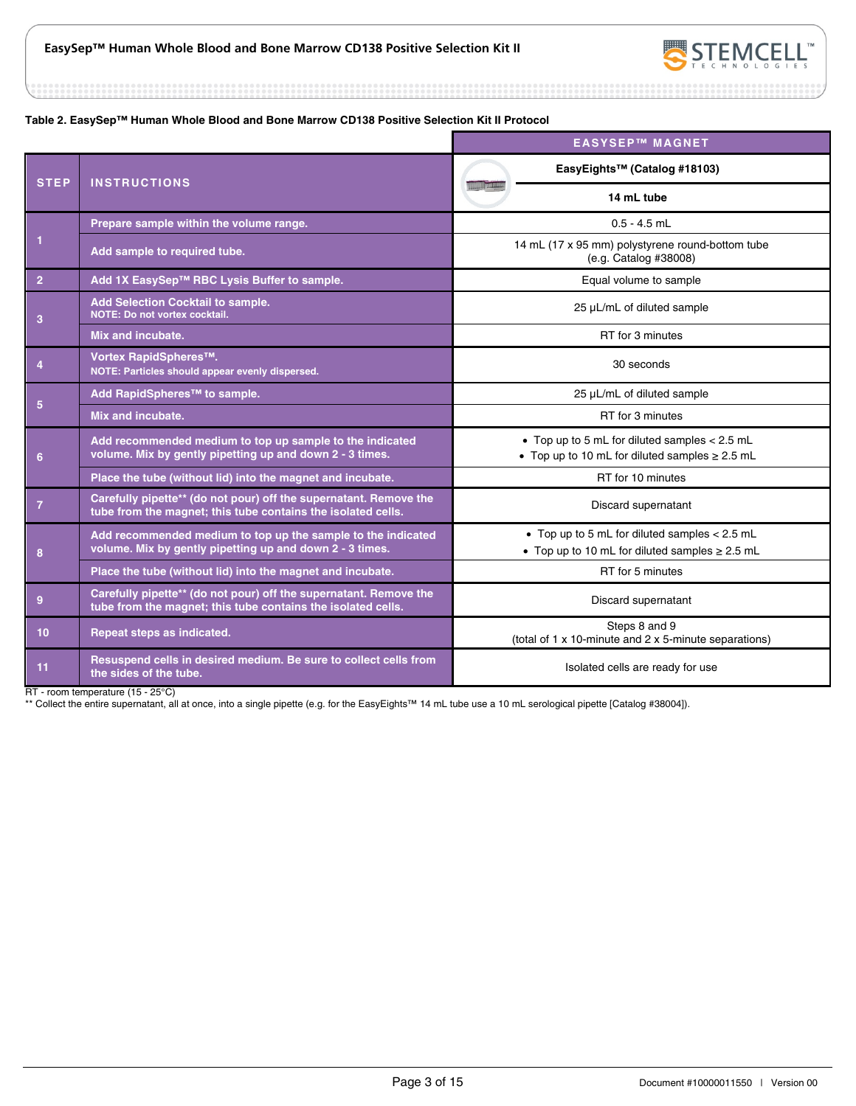

#### **Table 2. EasySep™ Human Whole Blood and Bone Marrow CD138 Positive Selection Kit II Protocol**

|                 |                                                                                                                                   | <b>EASYSEP™ MAGNET</b>                                                                                 |
|-----------------|-----------------------------------------------------------------------------------------------------------------------------------|--------------------------------------------------------------------------------------------------------|
| <b>STEP</b>     | <b>INSTRUCTIONS</b>                                                                                                               | EasyEights™ (Catalog #18103)                                                                           |
|                 |                                                                                                                                   | 14 mL tube                                                                                             |
|                 | Prepare sample within the volume range.                                                                                           | $0.5 - 4.5$ mL                                                                                         |
| $\mathbf{1}$    | Add sample to required tube.                                                                                                      | 14 mL (17 x 95 mm) polystyrene round-bottom tube<br>(e.g. Catalog #38008)                              |
| $\overline{2}$  | Add 1X EasySep™ RBC Lysis Buffer to sample.                                                                                       | Equal volume to sample                                                                                 |
| 3               | <b>Add Selection Cocktail to sample.</b><br>NOTE: Do not vortex cocktail.                                                         | 25 µL/mL of diluted sample                                                                             |
|                 | Mix and incubate.                                                                                                                 | RT for 3 minutes                                                                                       |
| $\overline{4}$  | Vortex RapidSpheres™.<br>NOTE: Particles should appear evenly dispersed.                                                          | 30 seconds                                                                                             |
|                 | Add RapidSpheres™ to sample.                                                                                                      | 25 µL/mL of diluted sample                                                                             |
| $5\phantom{.0}$ | Mix and incubate.                                                                                                                 | RT for 3 minutes                                                                                       |
| $6\phantom{1}$  | Add recommended medium to top up sample to the indicated<br>volume. Mix by gently pipetting up and down 2 - 3 times.              | • Top up to 5 mL for diluted samples < 2.5 mL<br>• Top up to 10 mL for diluted samples $\geq 2.5$ mL   |
|                 | Place the tube (without lid) into the magnet and incubate.                                                                        | RT for 10 minutes                                                                                      |
| $\overline{7}$  | Carefully pipette** (do not pour) off the supernatant. Remove the<br>tube from the magnet; this tube contains the isolated cells. | Discard supernatant                                                                                    |
| 8               | Add recommended medium to top up the sample to the indicated<br>volume. Mix by gently pipetting up and down 2 - 3 times.          | • Top up to 5 mL for diluted samples $< 2.5$ mL<br>• Top up to 10 mL for diluted samples $\geq 2.5$ mL |
|                 | Place the tube (without lid) into the magnet and incubate.                                                                        | RT for 5 minutes                                                                                       |
| 9               | Carefully pipette** (do not pour) off the supernatant. Remove the<br>tube from the magnet; this tube contains the isolated cells. | Discard supernatant                                                                                    |
| 10              | Repeat steps as indicated.                                                                                                        | Steps 8 and 9<br>(total of 1 x 10-minute and 2 x 5-minute separations)                                 |
| 11              | Resuspend cells in desired medium. Be sure to collect cells from<br>the sides of the tube.                                        | Isolated cells are ready for use                                                                       |

RT - room temperature (15 - 25°C)

\*\* Collect the entire supernatant, all at once, into a single pipette (e.g. for the EasyEights™ 14 mL tube use a 10 mL serological pipette [Catalog #38004]).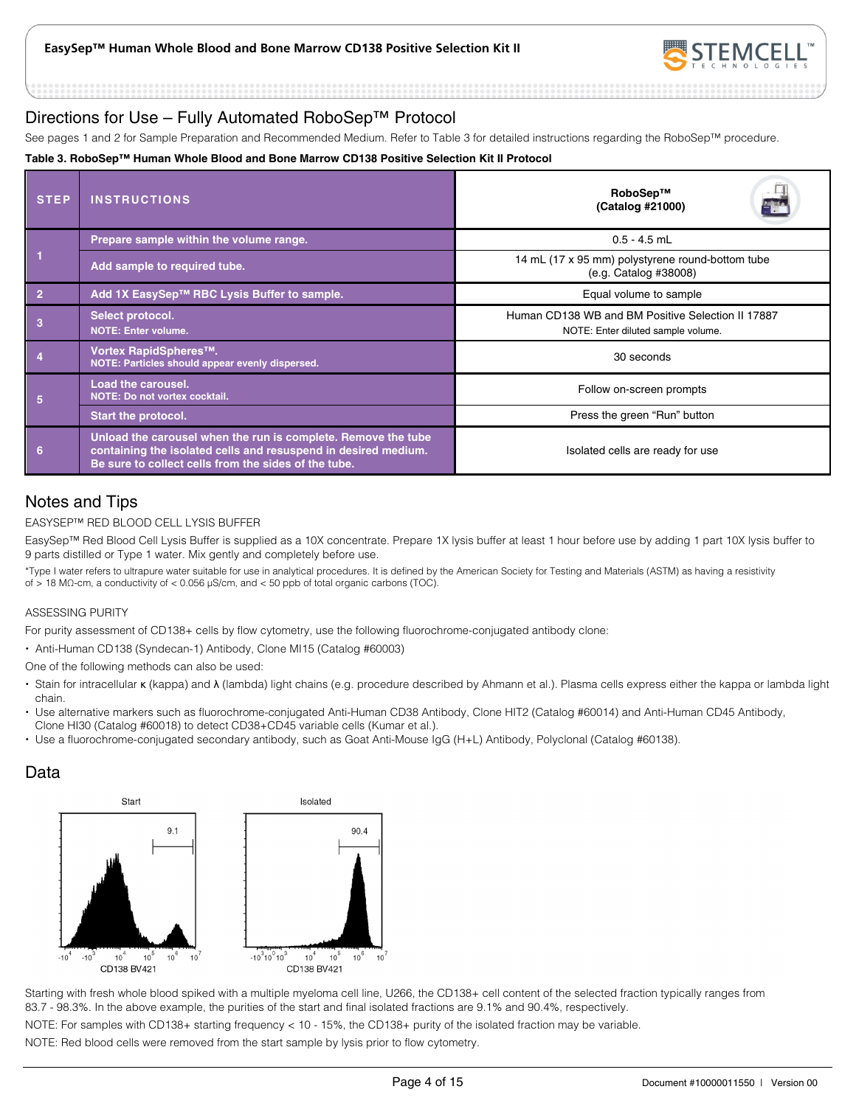

## Directions for Use – Fully Automated RoboSep™ Protocol

See pages 1 and 2 for Sample Preparation and Recommended Medium. Refer to Table 3 for detailed instructions regarding the RoboSep™ procedure.

#### **Table 3. RoboSep™ Human Whole Blood and Bone Marrow CD138 Positive Selection Kit II Protocol**

| <b>STEP</b>    | <b>INSTRUCTIONS</b>                                                                                                                                                                     | RoboSep™<br>E.<br>(Catalog #21000)                                                      |  |
|----------------|-----------------------------------------------------------------------------------------------------------------------------------------------------------------------------------------|-----------------------------------------------------------------------------------------|--|
|                | Prepare sample within the volume range.                                                                                                                                                 | $0.5 - 4.5$ mL                                                                          |  |
|                | Add sample to required tube.                                                                                                                                                            | 14 mL (17 x 95 mm) polystyrene round-bottom tube<br>(e.g. Catalog #38008)               |  |
| $\overline{2}$ | Add 1X EasySep™ RBC Lysis Buffer to sample.                                                                                                                                             | Equal volume to sample                                                                  |  |
|                | Select protocol.<br><b>NOTE: Enter volume.</b>                                                                                                                                          | Human CD138 WB and BM Positive Selection II 17887<br>NOTE: Enter diluted sample volume. |  |
|                | Vortex RapidSpheres™.<br>NOTE: Particles should appear evenly dispersed.                                                                                                                | 30 seconds                                                                              |  |
| 5              | <b>Load the carousel.</b><br>NOTE: Do not vortex cocktail.                                                                                                                              | Follow on-screen prompts                                                                |  |
|                | <b>Start the protocol.</b>                                                                                                                                                              | Press the green "Run" button                                                            |  |
| 6              | Unload the carousel when the run is complete. Remove the tube<br>containing the isolated cells and resuspend in desired medium.<br>Be sure to collect cells from the sides of the tube. | Isolated cells are ready for use                                                        |  |

## Notes and Tips

#### EASYSEP™ RED BLOOD CELL LYSIS BUFFER

EasySep™ Red Blood Cell Lysis Buffer is supplied as a 10X concentrate. Prepare 1X lysis buffer at least 1 hour before use by adding 1 part 10X lysis buffer to 9 parts distilled or Type 1 water. Mix gently and completely before use.

\*Type I water refers to ultrapure water suitable for use in analytical procedures. It is defined by the American Society for Testing and Materials (ASTM) as having a resistivity of > 18 MΩ-cm, a conductivity of < 0.056 μS/cm, and < 50 ppb of total organic carbons (TOC).

#### ASSESSING PURITY

For purity assessment of CD138+ cells by flow cytometry, use the following fluorochrome-conjugated antibody clone:

Anti-Human CD138 (Syndecan-1) Antibody, Clone MI15 (Catalog #60003)

One of the following methods can also be used:

- Stain for intracellular κ (kappa) and λ (lambda) light chains (e.g. procedure described by Ahmann et al.). Plasma cells express either the kappa or lambda light chain.
- · Use alternative markers such as fluorochrome-conjugated Anti-Human CD38 Antibody, Clone HIT2 (Catalog #60014) and Anti-Human CD45 Antibody, Clone HI30 (Catalog #60018) to detect CD38+CD45 variable cells (Kumar et al.).
- Use a fluorochrome-conjugated secondary antibody, such as Goat Anti-Mouse IgG (H+L) Antibody, Polyclonal (Catalog #60138).

## Data



Starting with fresh whole blood spiked with a multiple myeloma cell line, U266, the CD138+ cell content of the selected fraction typically ranges from 83.7 - 98.3%. In the above example, the purities of the start and final isolated fractions are 9.1% and 90.4%, respectively.

NOTE: For samples with CD138+ starting frequency < 10 - 15%, the CD138+ purity of the isolated fraction may be variable.

NOTE: Red blood cells were removed from the start sample by lysis prior to flow cytometry.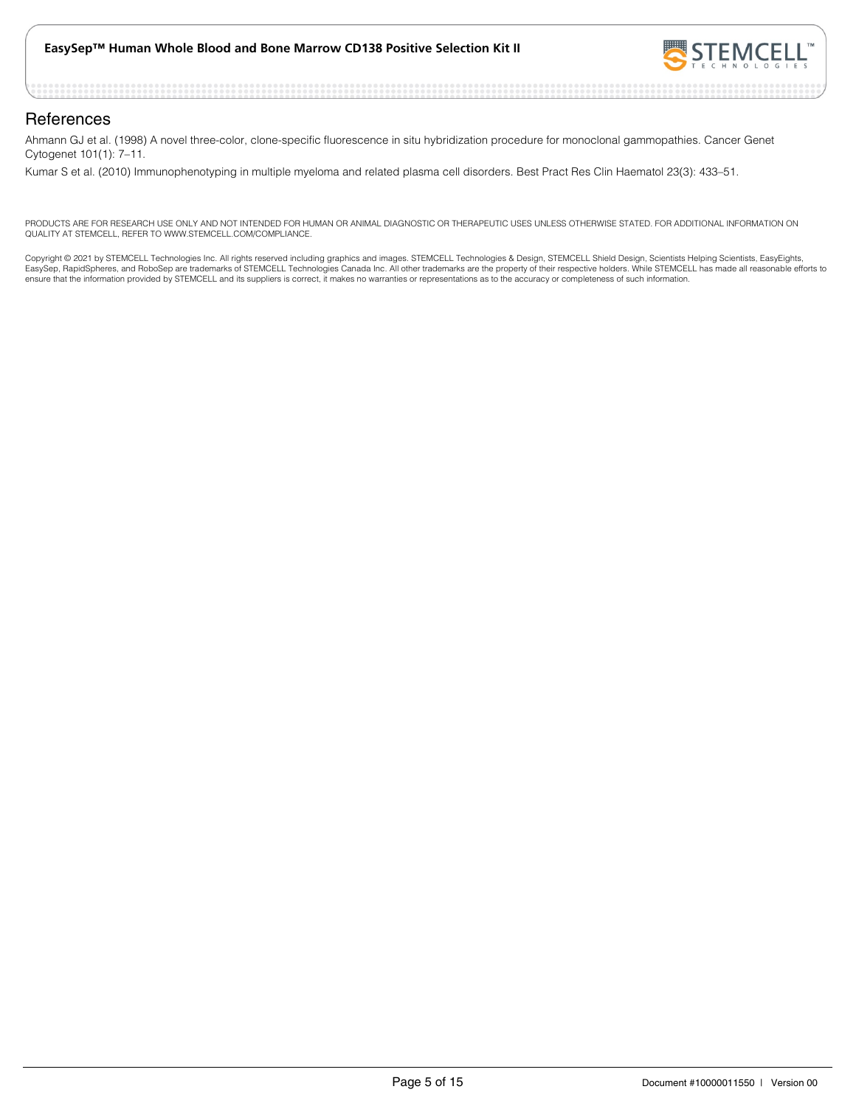

#### **References**

Ahmann GJ et al. (1998) A novel three-color, clone-specific fluorescence in situ hybridization procedure for monoclonal gammopathies. Cancer Genet Cytogenet 101(1): 7–11.

Kumar S et al. (2010) Immunophenotyping in multiple myeloma and related plasma cell disorders. Best Pract Res Clin Haematol 23(3): 433–51.

PRODUCTS ARE FOR RESEARCH USE ONLY AND NOT INTENDED FOR HUMAN OR ANIMAL DIAGNOSTIC OR THERAPEUTIC USES UNLESS OTHERWISE STATED. FOR ADDITIONAL INFORMATION ON QUALITY AT STEMCELL, REFER TO WWW.STEMCELL.COM/COMPLIANCE.

Copyright © 2021 by STEMCELL Technologies Inc. All rights reserved including graphics and images. STEMCELL Technologies & Design, STEMCELL Shield Design, Scientists Helping Scientists, EasyEights,<br>EasySep, RapidSpheres, an ensure that the information provided by STEMCELL and its suppliers is correct, it makes no warranties or representations as to the accuracy or completeness of such information.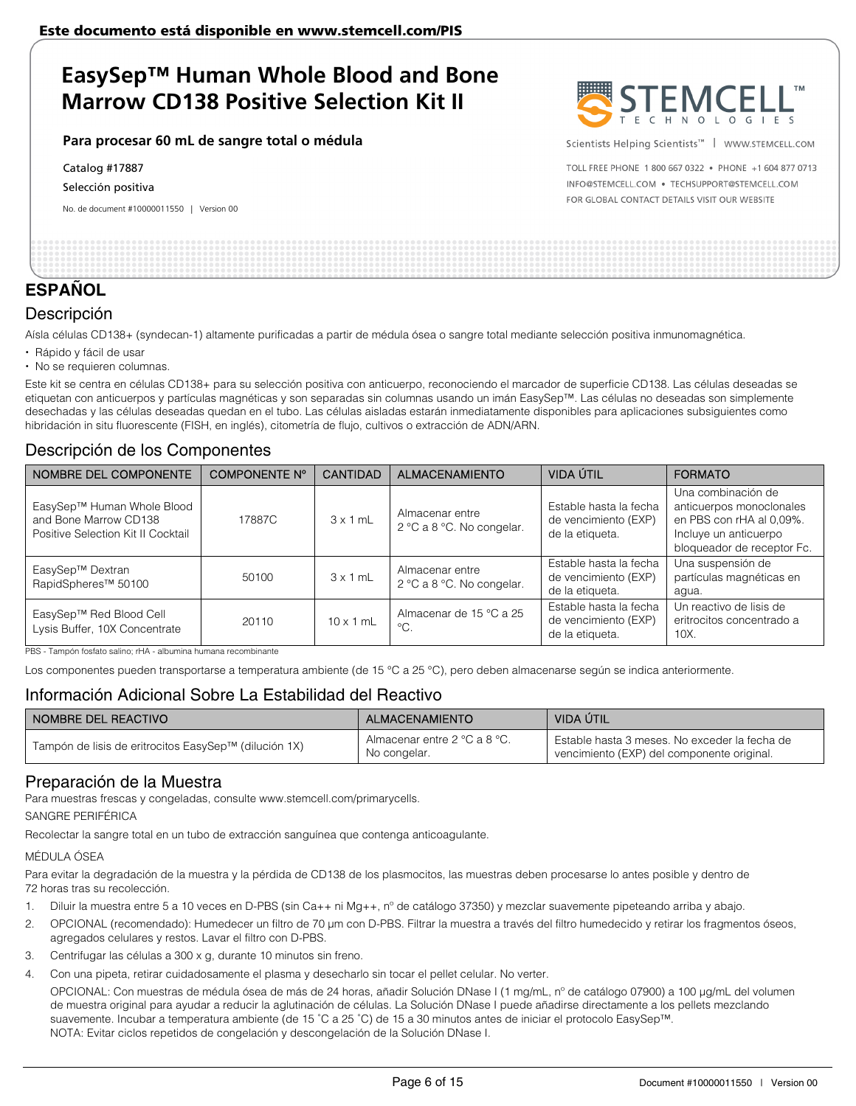#### **Para procesar 60 mL de sangre total o médula**

Catalog #17887

Selección positiva

No. de document #10000011550 | Version 00



Scientists Helping Scientists™ | WWW.STEMCELL.COM

TOLL FREE PHONE 1 800 667 0322 . PHONE +1 604 877 0713 INFO@STEMCELL.COM . TECHSUPPORT@STEMCELL.COM FOR GLOBAL CONTACT DETAILS VISIT OUR WEBSITE

## **ESPAÑOL**

## Descripción

Aísla células CD138+ (syndecan-1) altamente purificadas a partir de médula ósea o sangre total mediante selección positiva inmunomagnética.

- Rápido y fácil de usar
- No se requieren columnas.

Este kit se centra en células CD138+ para su selección positiva con anticuerpo, reconociendo el marcador de superficie CD138. Las células deseadas se etiquetan con anticuerpos y partículas magnéticas y son separadas sin columnas usando un imán EasySep™. Las células no deseadas son simplemente desechadas y las células deseadas quedan en el tubo. Las células aisladas estarán inmediatamente disponibles para aplicaciones subsiguientes como hibridación in situ fluorescente (FISH, en inglés), citometría de flujo, cultivos o extracción de ADN/ARN.

## Descripción de los Componentes

| NOMBRE DEL COMPONENTE                                                                     | COMPONENTE Nº | <b>CANTIDAD</b>  | <b>ALMACENAMIENTO</b>                        | VIDA ÚTIL                                                         | <b>FORMATO</b>                                                                                                                    |
|-------------------------------------------------------------------------------------------|---------------|------------------|----------------------------------------------|-------------------------------------------------------------------|-----------------------------------------------------------------------------------------------------------------------------------|
| EasySep™ Human Whole Blood<br>and Bone Marrow CD138<br>Positive Selection Kit II Cocktail | 17887C        | $3 \times 1$ mL  | Almacenar entre<br>2 °C a 8 °C. No congelar. | Estable hasta la fecha<br>de vencimiento (EXP)<br>de la etiqueta. | Una combinación de<br>anticuerpos monoclonales<br>en PBS con rHA al 0,09%.<br>Incluye un anticuerpo<br>bloqueador de receptor Fc. |
| EasySep™ Dextran<br>RapidSpheres <sup>™</sup> 50100                                       | 50100         | $3 \times 1$ mL  | Almacenar entre<br>2 °C a 8 °C. No congelar. | Estable hasta la fecha<br>de vencimiento (EXP)<br>de la etiqueta. | Una suspensión de<br>partículas magnéticas en<br>agua.                                                                            |
| EasySep™ Red Blood Cell<br>Lysis Buffer, 10X Concentrate                                  | 20110         | $10 \times 1$ mL | Almacenar de 15 °C a 25<br>$^{\circ}C$ .     | Estable hasta la fecha<br>de vencimiento (EXP)<br>de la etiqueta. | Un reactivo de lisis de<br>eritrocitos concentrado a<br>$10X$ .                                                                   |

PBS - Tampón fosfato salino; rHA - albumina humana recombinante

Los componentes pueden transportarse a temperatura ambiente (de 15 °C a 25 °C), pero deben almacenarse según se indica anteriormente.

## Información Adicional Sobre La Estabilidad del Reactivo

| NOMBRE DEL REACTIVO                                   | <b>ALMACENAMIENTO</b>                        | VIDA ÚTIL                                                                                   |
|-------------------------------------------------------|----------------------------------------------|---------------------------------------------------------------------------------------------|
| Tampón de lisis de eritrocitos EasySep™ (dilución 1X) | Almacenar entre 2 °C a 8 °C.<br>No congelar. | Estable hasta 3 meses. No exceder la fecha de<br>vencimiento (EXP) del componente original. |

## Preparación de la Muestra

Para muestras frescas y congeladas, consulte www.stemcell.com/primarycells.

SANGRE PERIFÉRICA

Recolectar la sangre total en un tubo de extracción sanguínea que contenga anticoagulante.

#### MÉDULA ÓSEA

Para evitar la degradación de la muestra y la pérdida de CD138 de los plasmocitos, las muestras deben procesarse lo antes posible y dentro de 72 horas tras su recolección.

- 1. Diluir la muestra entre 5 a 10 veces en D-PBS (sin Ca++ ni Mg++, n° de catálogo 37350) y mezclar suavemente pipeteando arriba y abajo.
- 2. OPCIONAL (recomendado): Humedecer un filtro de 70 μm con D-PBS. Filtrar la muestra a través del filtro humedecido y retirar los fragmentos óseos, agregados celulares y restos. Lavar el filtro con D-PBS.
- 3. Centrifugar las células a 300 x g, durante 10 minutos sin freno.
- 4. Con una pipeta, retirar cuidadosamente el plasma y desecharlo sin tocar el pellet celular. No verter.

OPCIONAL: Con muestras de médula ósea de más de 24 horas, añadir Solución DNase I (1 mg/mL, nº de catálogo 07900) a 100 μg/mL del volumen de muestra original para ayudar a reducir la aglutinación de células. La Solución DNase I puede añadirse directamente a los pellets mezclando suavemente. Incubar a temperatura ambiente (de 15 ˚C a 25 ˚C) de 15 a 30 minutos antes de iniciar el protocolo EasySep™. NOTA: Evitar ciclos repetidos de congelación y descongelación de la Solución DNase I.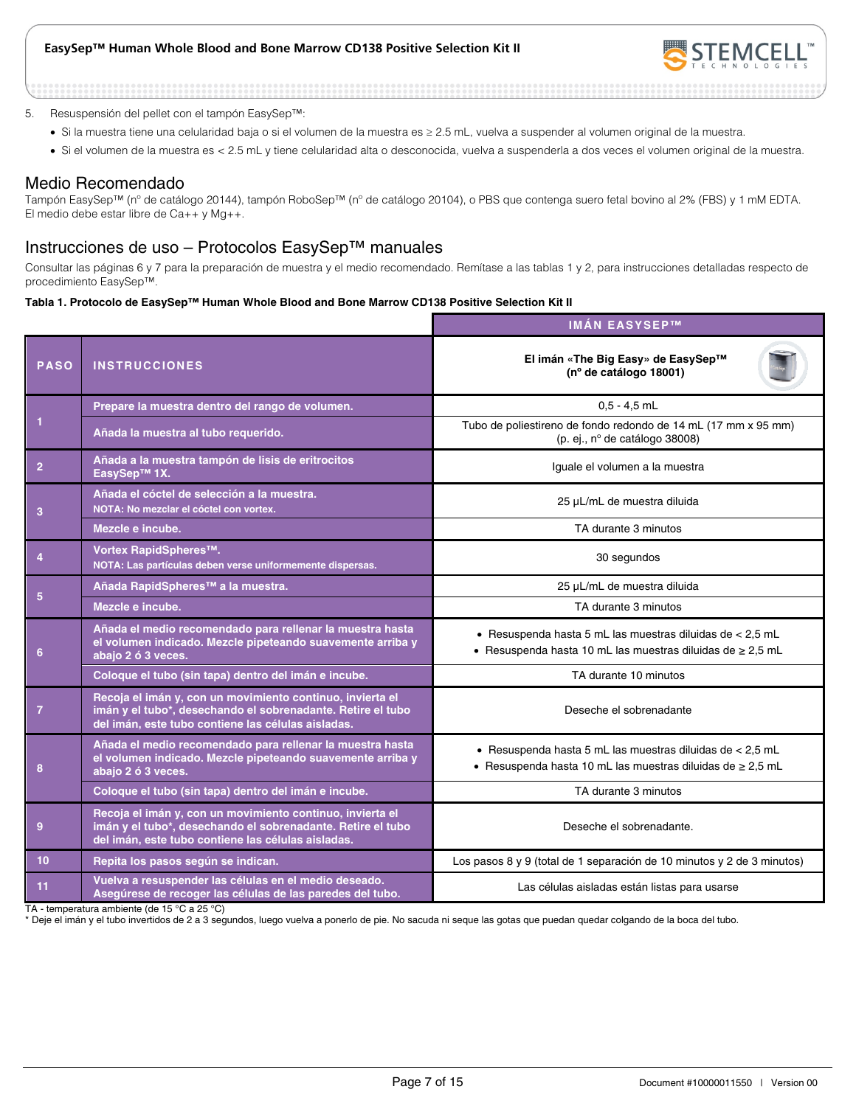

#### 5. Resuspensión del pellet con el tampón EasySep™:

- Si la muestra tiene una celularidad baja o si el volumen de la muestra es ≥ 2.5 mL, vuelva a suspender al volumen original de la muestra.
- Si el volumen de la muestra es < 2.5 mL y tiene celularidad alta o desconocida, vuelva a suspenderla a dos veces el volumen original de la muestra.

#### Medio Recomendado

Tampón EasySep™ (nº de catálogo 20144), tampón RoboSep™ (nº de catálogo 20104), o PBS que contenga suero fetal bovino al 2% (FBS) y 1 mM EDTA. El medio debe estar libre de Ca++ y Mg++.

## Instrucciones de uso – Protocolos EasySep™ manuales

Consultar las páginas 6 y 7 para la preparación de muestra y el medio recomendado. Remítase a las tablas 1 y 2, para instrucciones detalladas respecto de procedimiento EasySep™.

#### **Tabla 1. Protocolo de EasySep™ Human Whole Blood and Bone Marrow CD138 Positive Selection Kit II**

|                |                                                                                                                                                                                | <b>IMÁN EASYSEPTM</b>                                                                                                          |  |  |
|----------------|--------------------------------------------------------------------------------------------------------------------------------------------------------------------------------|--------------------------------------------------------------------------------------------------------------------------------|--|--|
| <b>PASO</b>    | <b>INSTRUCCIONES</b>                                                                                                                                                           | El imán «The Big Easy» de EasySep™<br>(nº de catálogo 18001)                                                                   |  |  |
|                | Prepare la muestra dentro del rango de volumen.                                                                                                                                | $0.5 - 4.5$ mL                                                                                                                 |  |  |
| $\overline{1}$ | Añada la muestra al tubo requerido.                                                                                                                                            | Tubo de poliestireno de fondo redondo de 14 mL (17 mm x 95 mm)<br>(p. ej., nº de catálogo 38008)                               |  |  |
| $\overline{2}$ | Añada a la muestra tampón de lisis de eritrocitos<br>EasySep™ 1X.                                                                                                              | Iguale el volumen a la muestra                                                                                                 |  |  |
| 3              | Añada el cóctel de selección a la muestra.<br>NOTA: No mezclar el cóctel con vortex.                                                                                           | 25 µL/mL de muestra diluida                                                                                                    |  |  |
|                | Mezcle e incube.                                                                                                                                                               | TA durante 3 minutos                                                                                                           |  |  |
| $\overline{4}$ | Vortex RapidSpheres™.<br>NOTA: Las partículas deben verse uniformemente dispersas.                                                                                             | 30 segundos                                                                                                                    |  |  |
|                | Añada RapidSpheres <sup>™</sup> a la muestra.                                                                                                                                  | 25 µL/mL de muestra diluida                                                                                                    |  |  |
| 5              | Mezcle e incube.                                                                                                                                                               | TA durante 3 minutos                                                                                                           |  |  |
| 6              | Añada el medio recomendado para rellenar la muestra hasta<br>el volumen indicado. Mezcle pipeteando suavemente arriba y<br>abajo 2 ó 3 veces.                                  | • Resuspenda hasta 5 mL las muestras diluidas de < $2,5$ mL<br>• Resuspenda hasta 10 mL las muestras diluidas de $\geq 2.5$ mL |  |  |
|                | Coloque el tubo (sin tapa) dentro del imán e incube.                                                                                                                           | TA durante 10 minutos                                                                                                          |  |  |
| $\overline{7}$ | Recoja el imán y, con un movimiento continuo, invierta el<br>imán y el tubo*, desechando el sobrenadante. Retire el tubo<br>del imán, este tubo contiene las células aisladas. | Deseche el sobrenadante                                                                                                        |  |  |
| 8              | Añada el medio recomendado para rellenar la muestra hasta<br>el volumen indicado. Mezcle pipeteando suavemente arriba y<br>abajo 2 ó 3 veces.                                  | • Resuspenda hasta 5 mL las muestras diluidas de < 2,5 mL<br>- Resuspenda hasta 10 mL las muestras diluidas de $\geq 2.5$ mL   |  |  |
|                | Coloque el tubo (sin tapa) dentro del imán e incube.                                                                                                                           | TA durante 3 minutos                                                                                                           |  |  |
| 9              | Recoja el imán y, con un movimiento continuo, invierta el<br>imán y el tubo*, desechando el sobrenadante. Retire el tubo<br>del imán, este tubo contiene las células aisladas. | Deseche el sobrenadante.                                                                                                       |  |  |
| 10             | Repita los pasos según se indican.                                                                                                                                             | Los pasos 8 y 9 (total de 1 separación de 10 minutos y 2 de 3 minutos)                                                         |  |  |
| 11             | Vuelva a resuspender las células en el medio deseado.<br>Asegúrese de recoger las células de las paredes del tubo.                                                             | Las células aisladas están listas para usarse                                                                                  |  |  |

TA - temperatura ambiente (de 15 °C a 25 °C)

\* Deje el imán y el tubo invertidos de 2 a 3 segundos, luego vuelva a ponerlo de pie. No sacuda ni seque las gotas que puedan quedar colgando de la boca del tubo.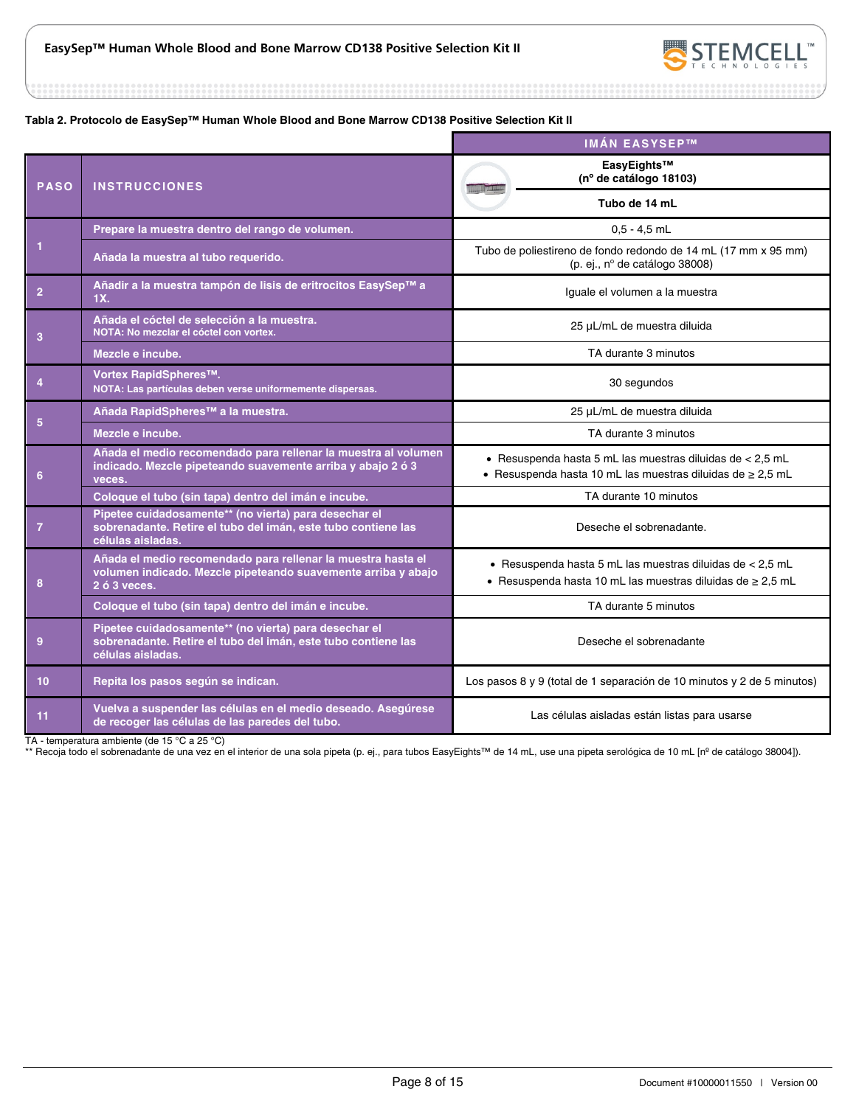

...........

#### **Tabla 2. Protocolo de EasySep™ Human Whole Blood and Bone Marrow CD138 Positive Selection Kit II**

|                 |                                                                                                                                               | <b>IMÁN EASYSEP™</b>                                                                                                         |
|-----------------|-----------------------------------------------------------------------------------------------------------------------------------------------|------------------------------------------------------------------------------------------------------------------------------|
| <b>PASO</b>     | <b>INSTRUCCIONES</b>                                                                                                                          | EasyEights™<br>(nº de catálogo 18103)                                                                                        |
|                 |                                                                                                                                               | Tubo de 14 mL                                                                                                                |
|                 | Prepare la muestra dentro del rango de volumen.                                                                                               | $0.5 - 4.5$ mL                                                                                                               |
| 1               | Añada la muestra al tubo requerido.                                                                                                           | Tubo de poliestireno de fondo redondo de 14 mL (17 mm x 95 mm)<br>(p. ej., nº de catálogo 38008)                             |
| $\overline{2}$  | Añadir a la muestra tampón de lisis de eritrocitos EasySep™ a<br>1X.                                                                          | Iguale el volumen a la muestra                                                                                               |
| 3               | Añada el cóctel de selección a la muestra.<br>NOTA: No mezclar el cóctel con vortex.                                                          | 25 µL/mL de muestra diluida                                                                                                  |
|                 | Mezcle e incube.                                                                                                                              | TA durante 3 minutos                                                                                                         |
| $\overline{4}$  | Vortex RapidSpheres™.<br>NOTA: Las partículas deben verse uniformemente dispersas.                                                            | 30 segundos                                                                                                                  |
|                 | Añada RapidSpheres <sup>™</sup> a la muestra.                                                                                                 | 25 µL/mL de muestra diluida                                                                                                  |
| $5\phantom{.0}$ | Mezcle e incube.                                                                                                                              | TA durante 3 minutos                                                                                                         |
| 6               | Añada el medio recomendado para rellenar la muestra al volumen<br>indicado. Mezcle pipeteando suavemente arriba y abajo 2 ó 3<br>veces.       | · Resuspenda hasta 5 mL las muestras diluidas de < 2,5 mL<br>• Resuspenda hasta 10 mL las muestras diluidas de $\geq 2.5$ mL |
|                 | Coloque el tubo (sin tapa) dentro del imán e incube.                                                                                          | TA durante 10 minutos                                                                                                        |
| $\overline{7}$  | Pipetee cuidadosamente** (no vierta) para desechar el<br>sobrenadante. Retire el tubo del imán, este tubo contiene las<br>células aisladas.   | Deseche el sobrenadante.                                                                                                     |
| 8               | Añada el medio recomendado para rellenar la muestra hasta el<br>volumen indicado. Mezcle pipeteando suavemente arriba y abajo<br>2 ó 3 veces. | · Resuspenda hasta 5 mL las muestras diluidas de < 2,5 mL<br>• Resuspenda hasta 10 mL las muestras diluidas de $\geq 2.5$ mL |
|                 | Coloque el tubo (sin tapa) dentro del imán e incube.                                                                                          | TA durante 5 minutos                                                                                                         |
| 9               | Pipetee cuidadosamente** (no vierta) para desechar el<br>sobrenadante. Retire el tubo del imán, este tubo contiene las<br>células aisladas.   | Deseche el sobrenadante                                                                                                      |
| 10              | Repita los pasos según se indican.                                                                                                            | Los pasos 8 y 9 (total de 1 separación de 10 minutos y 2 de 5 minutos)                                                       |
| 11              | Vuelva a suspender las células en el medio deseado. Asegúrese<br>de recoger las células de las paredes del tubo.                              | Las células aisladas están listas para usarse                                                                                |

TA - temperatura ambiente (de 15 °C a 25 °C)

\*\* Recoja todo el sobrenadante de una vez en el interior de una sola pipeta (p. ej., para tubos EasyEights™ de 14 mL, use una pipeta serológica de 10 mL [nº de catálogo 38004]).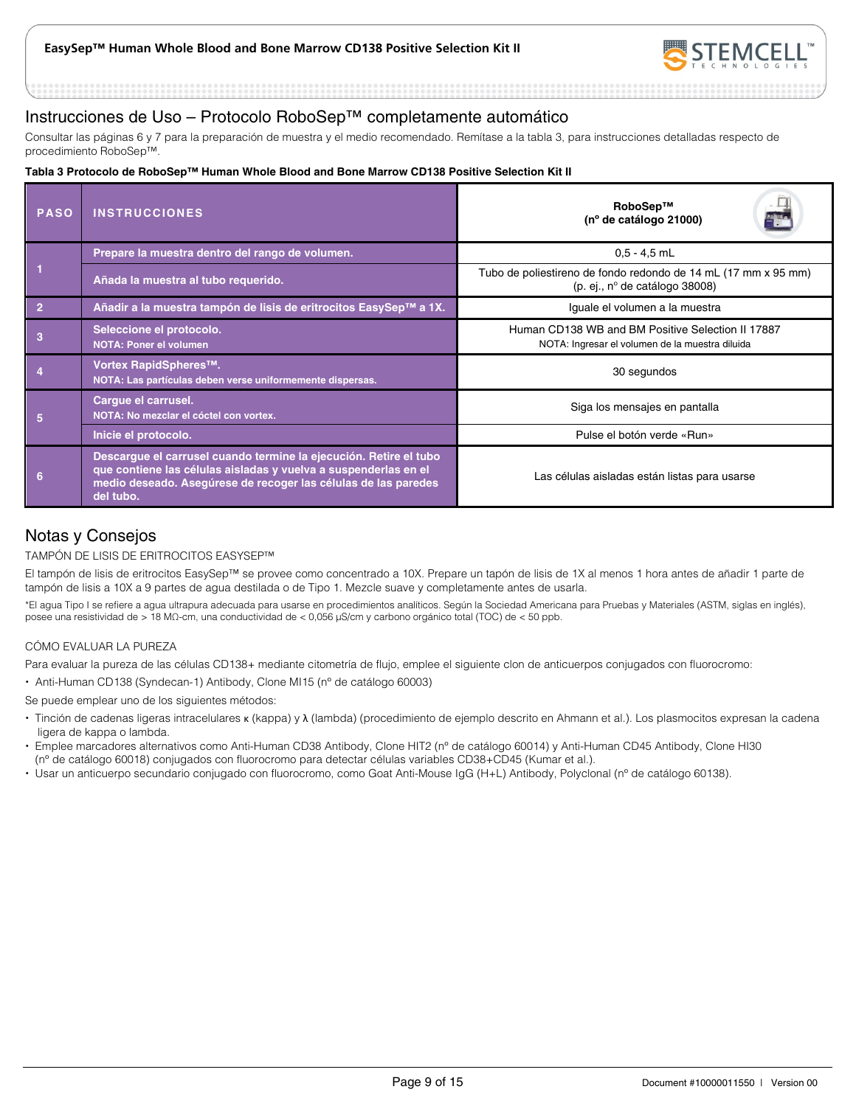

## Instrucciones de Uso – Protocolo RoboSep™ completamente automático

Consultar las páginas 6 y 7 para la preparación de muestra y el medio recomendado. Remítase a la tabla 3, para instrucciones detalladas respecto de procedimiento RoboSep™.

#### **Tabla 3 Protocolo de RoboSep™ Human Whole Blood and Bone Marrow CD138 Positive Selection Kit II**

| <b>PASO</b>    | <b>INSTRUCCIONES</b>                                                                                                                                                                                                | RoboSep™<br>(nº de catálogo 21000)                                                                        |  |  |
|----------------|---------------------------------------------------------------------------------------------------------------------------------------------------------------------------------------------------------------------|-----------------------------------------------------------------------------------------------------------|--|--|
|                | Prepare la muestra dentro del rango de volumen.                                                                                                                                                                     | $0.5 - 4.5$ mL                                                                                            |  |  |
|                | Añada la muestra al tubo requerido.                                                                                                                                                                                 | Tubo de poliestireno de fondo redondo de 14 mL (17 mm x 95 mm)<br>(p. ej., $n^{\circ}$ de catálogo 38008) |  |  |
| $\overline{2}$ | Añadir a la muestra tampón de lisis de eritrocitos EasySep™ a 1X.                                                                                                                                                   | Iguale el volumen a la muestra                                                                            |  |  |
| 3              | Seleccione el protocolo.<br><b>NOTA: Poner el volumen</b>                                                                                                                                                           | Human CD138 WB and BM Positive Selection II 17887<br>NOTA: Ingresar el volumen de la muestra diluida      |  |  |
|                | Vortex RapidSpheres™.<br>NOTA: Las partículas deben verse uniformemente dispersas.                                                                                                                                  | 30 segundos                                                                                               |  |  |
| 5              | Cargue el carrusel.<br>NOTA: No mezclar el cóctel con vortex.                                                                                                                                                       | Siga los mensajes en pantalla                                                                             |  |  |
|                | Inicie el protocolo.                                                                                                                                                                                                | Pulse el botón verde «Run»                                                                                |  |  |
| 6              | Descargue el carrusel cuando termine la ejecución. Retire el tubo<br>que contiene las células aisladas y vuelva a suspenderlas en el<br>medio deseado. Asegúrese de recoger las células de las paredes<br>del tubo. | Las células aisladas están listas para usarse                                                             |  |  |

## Notas y Consejos

#### TAMPÓN DE LISIS DE ERITROCITOS EASYSEP™

El tampón de lisis de eritrocitos EasySep™ se provee como concentrado a 10X. Prepare un tapón de lisis de 1X al menos 1 hora antes de añadir 1 parte de tampón de lisis a 10X a 9 partes de agua destilada o de Tipo 1. Mezcle suave y completamente antes de usarla.

\*El agua Tipo I se refiere a agua ultrapura adecuada para usarse en procedimientos analíticos. Según la Sociedad Americana para Pruebas y Materiales (ASTM, siglas en inglés), posee una resistividad de > 18 MΩ-cm, una conductividad de < 0,056 μS/cm y carbono orgánico total (TOC) de < 50 ppb.

#### CÓMO EVALUAR LA PUREZA

Para evaluar la pureza de las células CD138+ mediante citometría de flujo, emplee el siguiente clon de anticuerpos conjugados con fluorocromo:

Anti-Human CD138 (Syndecan-1) Antibody, Clone MI15 (nº de catálogo 60003)

Se puede emplear uno de los siguientes métodos:

- Tinción de cadenas ligeras intracelulares κ (kappa) y λ (lambda) (procedimiento de ejemplo descrito en Ahmann et al.). Los plasmocitos expresan la cadena ligera de kappa o lambda.
- Emplee marcadores alternativos como Anti-Human CD38 Antibody, Clone HIT2 (nº de catálogo 60014) y Anti-Human CD45 Antibody, Clone HI30 (nº de catálogo 60018) conjugados con fluorocromo para detectar células variables CD38+CD45 (Kumar et al.).
- Usar un anticuerpo secundario conjugado con fluorocromo, como Goat Anti-Mouse IgG (H+L) Antibody, Polyclonal (nº de catálogo 60138).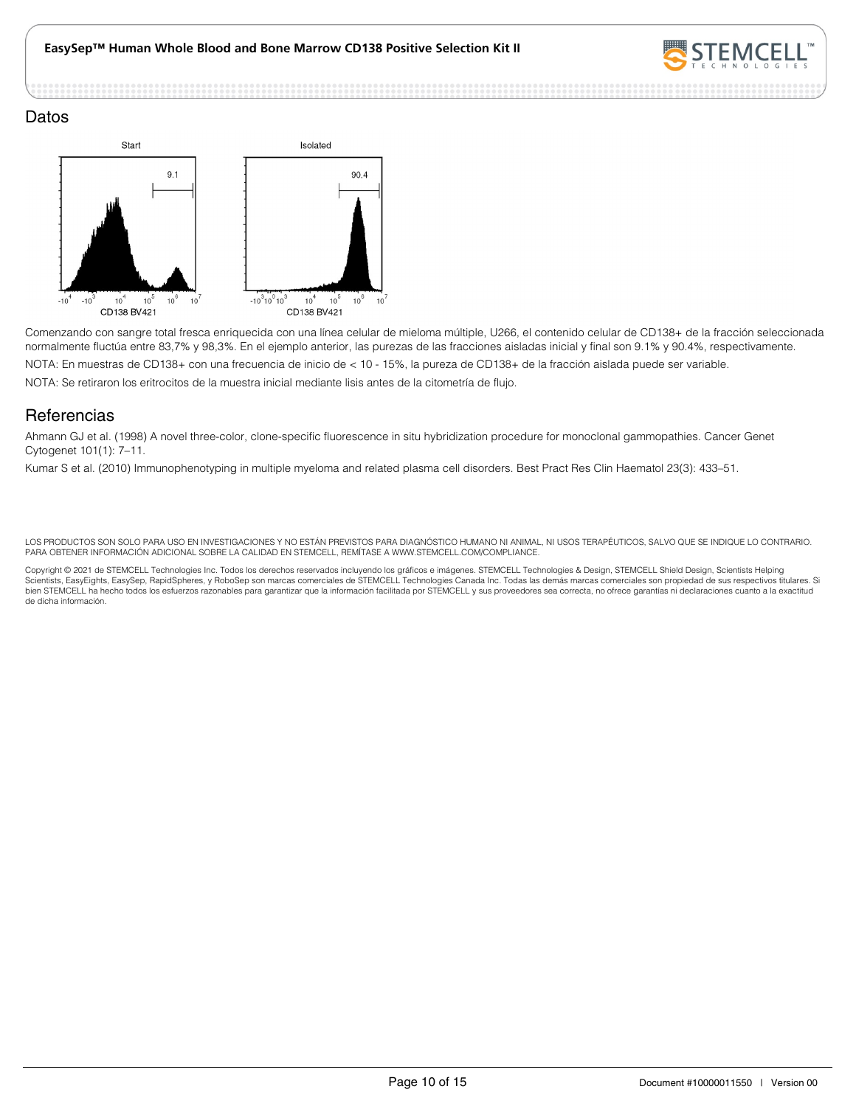

#### Datos



Comenzando con sangre total fresca enriquecida con una línea celular de mieloma múltiple, U266, el contenido celular de CD138+ de la fracción seleccionada normalmente fluctúa entre 83,7% y 98,3%. En el ejemplo anterior, las purezas de las fracciones aisladas inicial y final son 9.1% y 90.4%, respectivamente. NOTA: En muestras de CD138+ con una frecuencia de inicio de < 10 - 15%, la pureza de CD138+ de la fracción aislada puede ser variable. NOTA: Se retiraron los eritrocitos de la muestra inicial mediante lisis antes de la citometría de flujo.

## **Referencias**

Ahmann GJ et al. (1998) A novel three-color, clone-specific fluorescence in situ hybridization procedure for monoclonal gammopathies. Cancer Genet Cytogenet 101(1): 7–11.

Kumar S et al. (2010) Immunophenotyping in multiple myeloma and related plasma cell disorders. Best Pract Res Clin Haematol 23(3): 433–51.

LOS PRODUCTOS SON SOLO PARA USO EN INVESTIGACIONES Y NO ESTÁN PREVISTOS PARA DIAGNÓSTICO HUMANO NI ANIMAL, NI USOS TERAPÉUTICOS, SALVO QUE SE INDIQUE LO CONTRARIO. PARA OBTENER INFORMACIÓN ADICIONAL SOBRE LA CALIDAD EN STEMCELL, REMÍTASE A WWW.STEMCELL.COM/COMPLIANCE.

Copyright © 2021 de STEMCELL Technologies Inc. Todos los derechos reservados incluyendo los gráficos e imágenes. STEMCELL Technologies & Design, STEMCELL Shield Design, Scientists Helping<br>Scientists, EasyEights, EasySep, R bien STEMCELL ha hecho todos los esfuerzos razonables para garantizar que la información facilitada por STEMCELL y sus proveedores sea correcta, no ofrece garantías ni declaraciones cuanto a la exactitud de dicha información.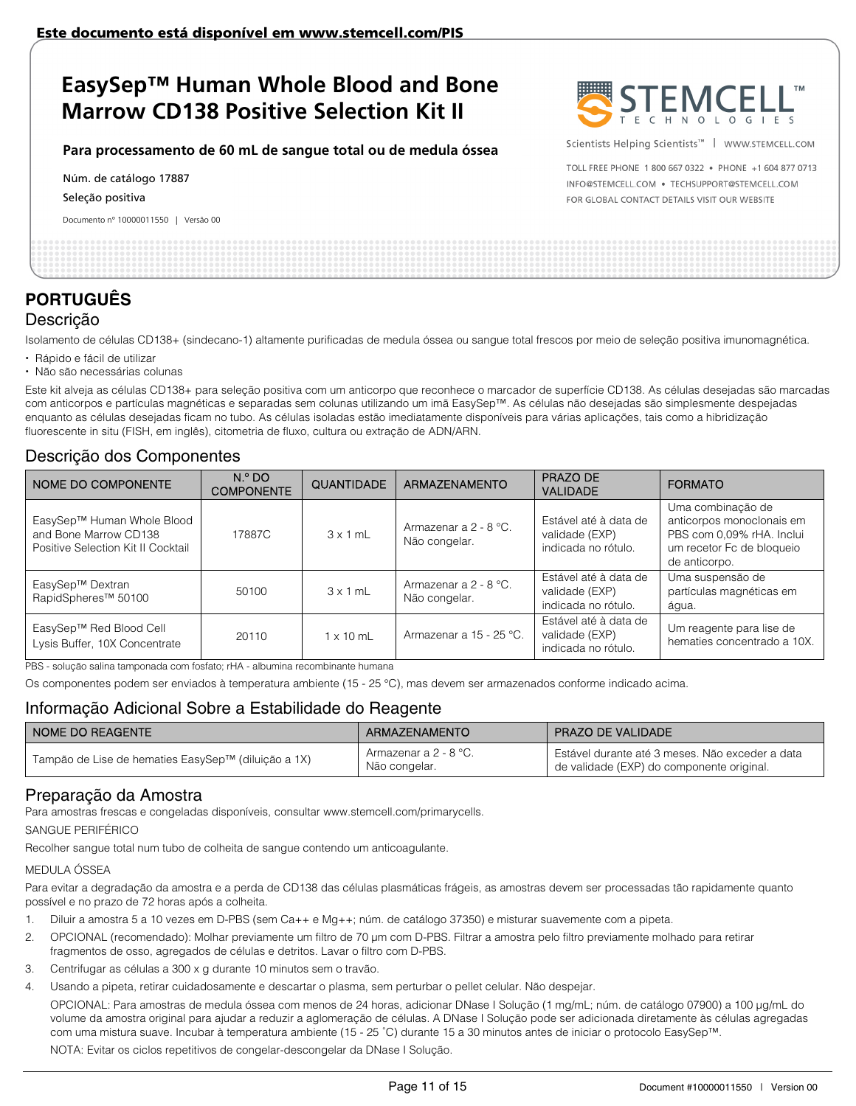#### **Para processamento de 60 mL de sangue total ou de medula óssea**

Núm. de catálogo 17887

Seleção positiva

Documento nº 10000011550 | Versão 00



Scientists Helping Scientists™ | WWW.STEMCELL.COM

TOLL FREE PHONE 1 800 667 0322 . PHONE +1 604 877 0713 INFO@STEMCELL.COM . TECHSUPPORT@STEMCELL.COM FOR GLOBAL CONTACT DETAILS VISIT OUR WEBSITE

## **PORTUGUÊS** Descrição

Isolamento de células CD138+ (sindecano-1) altamente purificadas de medula óssea ou sangue total frescos por meio de seleção positiva imunomagnética.

- Rápido e fácil de utilizar
- Não são necessárias colunas

Este kit alveja as células CD138+ para seleção positiva com um anticorpo que reconhece o marcador de superfície CD138. As células desejadas são marcadas com anticorpos e partículas magnéticas e separadas sem colunas utilizando um imã EasySep™. As células não desejadas são simplesmente despejadas enquanto as células desejadas ficam no tubo. As células isoladas estão imediatamente disponíveis para várias aplicações, tais como a hibridização fluorescente in situ (FISH, em inglês), citometria de fluxo, cultura ou extração de ADN/ARN.

## Descrição dos Componentes

| NOME DO COMPONENTE                                                                        | N. <sup>o</sup> DO<br><b>COMPONENTE</b> | <b>QUANTIDADE</b> | <b>ARMAZENAMENTO</b>                   | PRAZO DE<br><b>VALIDADE</b>                                    | <b>FORMATO</b>                                                                                                            |
|-------------------------------------------------------------------------------------------|-----------------------------------------|-------------------|----------------------------------------|----------------------------------------------------------------|---------------------------------------------------------------------------------------------------------------------------|
| EasySep™ Human Whole Blood<br>and Bone Marrow CD138<br>Positive Selection Kit II Cocktail | 17887C                                  | $3 \times 1$ mL   | Armazenar a 2 - 8 °C.<br>Não congelar. | Estável até à data de<br>validade (EXP)<br>indicada no rótulo. | Uma combinação de<br>anticorpos monoclonais em<br>PBS com 0,09% rHA. Inclui<br>um recetor Fc de bloqueio<br>de anticorpo. |
| EasySep™ Dextran<br>RapidSpheres <sup>™</sup> 50100                                       | 50100                                   | $3 \times 1$ mL   | Armazenar a 2 - 8 °C.<br>Não congelar. | Estável até à data de<br>validade (EXP)<br>indicada no rótulo. | Uma suspensão de<br>partículas magnéticas em<br>água.                                                                     |
| EasySep™ Red Blood Cell<br>Lysis Buffer, 10X Concentrate                                  | 20110                                   | $1 \times 10$ mL  | Armazenar a 15 - 25 °C.                | Estável até à data de<br>validade (EXP)<br>indicada no rótulo. | Um reagente para lise de<br>hematies concentrado a 10X.                                                                   |

PBS - solução salina tamponada com fosfato; rHA - albumina recombinante humana

Os componentes podem ser enviados à temperatura ambiente (15 - 25 °C), mas devem ser armazenados conforme indicado acima.

## Informação Adicional Sobre a Estabilidade do Reagente

| I NOME DO REAGENTE                                  | ARMAZENAMENTO                          | <b>PRAZO DE VALIDADE</b>                                                                     |
|-----------------------------------------------------|----------------------------------------|----------------------------------------------------------------------------------------------|
| Tampão de Lise de hematies EasySep™ (diluição a 1X) | Armazenar a 2 - 8 °C.<br>Não congelar. | Estável durante até 3 meses. Não exceder a data<br>de validade (EXP) do componente original. |

## Preparação da Amostra

Para amostras frescas e congeladas disponíveis, consultar www.stemcell.com/primarycells.

SANGUE PERIFÉRICO

Recolher sangue total num tubo de colheita de sangue contendo um anticoagulante.

#### MEDULA ÓSSEA

Para evitar a degradação da amostra e a perda de CD138 das células plasmáticas frágeis, as amostras devem ser processadas tão rapidamente quanto possível e no prazo de 72 horas após a colheita.

- 1. Diluir a amostra 5 a 10 vezes em D-PBS (sem Ca++ e Mg++; núm. de catálogo 37350) e misturar suavemente com a pipeta.
- 2. OPCIONAL (recomendado): Molhar previamente um filtro de 70 μm com D-PBS. Filtrar a amostra pelo filtro previamente molhado para retirar fragmentos de osso, agregados de células e detritos. Lavar o filtro com D-PBS.
- 3. Centrifugar as células a 300 x g durante 10 minutos sem o travão.
- 4. Usando a pipeta, retirar cuidadosamente e descartar o plasma, sem perturbar o pellet celular. Não despejar.

OPCIONAL: Para amostras de medula óssea com menos de 24 horas, adicionar DNase I Solução (1 mg/mL; núm. de catálogo 07900) a 100 μg/mL do volume da amostra original para ajudar a reduzir a aglomeração de células. A DNase I Solução pode ser adicionada diretamente às células agregadas com uma mistura suave. Incubar à temperatura ambiente (15 - 25 ˚C) durante 15 a 30 minutos antes de iniciar o protocolo EasySep™.

NOTA: Evitar os ciclos repetitivos de congelar-descongelar da DNase I Solução.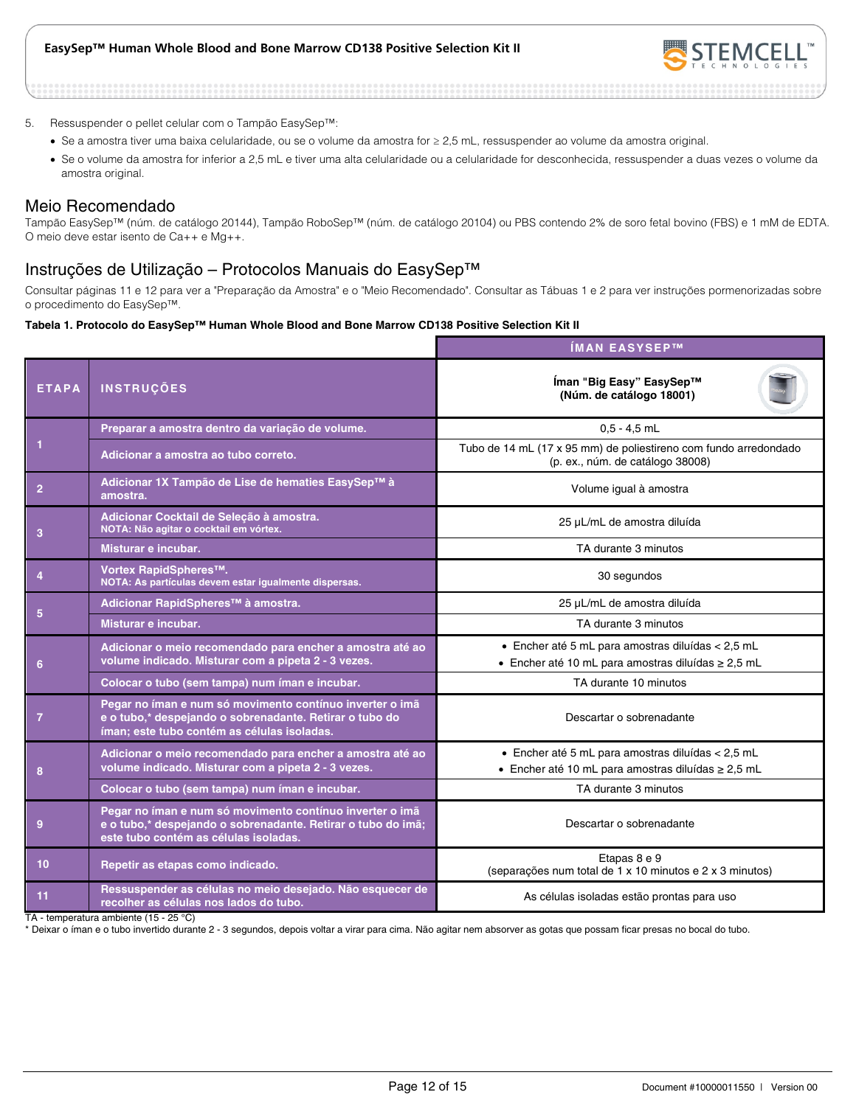

- 5. Ressuspender o pellet celular com o Tampão EasySep™:
	- Se a amostra tiver uma baixa celularidade, ou se o volume da amostra for ≥ 2,5 mL, ressuspender ao volume da amostra original.
	- Se o volume da amostra for inferior a 2,5 mL e tiver uma alta celularidade ou a celularidade for desconhecida, ressuspender a duas vezes o volume da amostra original.

### Meio Recomendado

Tampão EasySep™ (núm. de catálogo 20144), Tampão RoboSep™ (núm. de catálogo 20104) ou PBS contendo 2% de soro fetal bovino (FBS) e 1 mM de EDTA. O meio deve estar isento de Ca++ e Mg++.

## Instruções de Utilização – Protocolos Manuais do EasySep™

Consultar páginas 11 e 12 para ver a "Preparação da Amostra" e o "Meio Recomendado". Consultar as Tábuas 1 e 2 para ver instruções pormenorizadas sobre o procedimento do EasySep™.

#### **Tabela 1. Protocolo do EasySep™ Human Whole Blood and Bone Marrow CD138 Positive Selection Kit II**

|                |                                                                                                                                                                    | ÍMAN EASYSEP™                                                                                                |  |  |
|----------------|--------------------------------------------------------------------------------------------------------------------------------------------------------------------|--------------------------------------------------------------------------------------------------------------|--|--|
| <b>ETAPA</b>   | <b>INSTRUÇÕES</b>                                                                                                                                                  | Íman "Big Easy" EasySep™<br>(Núm. de catálogo 18001)                                                         |  |  |
|                | Preparar a amostra dentro da variação de volume.                                                                                                                   | $0.5 - 4.5$ mL                                                                                               |  |  |
|                | Adicionar a amostra ao tubo correto.                                                                                                                               | Tubo de 14 mL (17 x 95 mm) de poliestireno com fundo arredondado<br>(p. ex., núm. de catálogo 38008)         |  |  |
| $\overline{2}$ | Adicionar 1X Tampão de Lise de hematies EasySep™ à<br>amostra.                                                                                                     | Volume igual à amostra                                                                                       |  |  |
| 3              | Adicionar Cocktail de Seleção à amostra.<br>NOTA: Não agitar o cocktail em vórtex.                                                                                 | 25 µL/mL de amostra diluída                                                                                  |  |  |
|                | Misturar e incubar.                                                                                                                                                | TA durante 3 minutos                                                                                         |  |  |
|                | Vortex RapidSpheres™.<br>NOTA: As partículas devem estar igualmente dispersas.                                                                                     | 30 segundos                                                                                                  |  |  |
|                | Adicionar RapidSpheres <sup>™</sup> à amostra.                                                                                                                     | 25 µL/mL de amostra diluída                                                                                  |  |  |
| 5              | Misturar e incubar.                                                                                                                                                | TA durante 3 minutos                                                                                         |  |  |
| 6              | Adicionar o meio recomendado para encher a amostra até ao<br>volume indicado. Misturar com a pipeta 2 - 3 vezes.                                                   | • Encher até 5 mL para amostras diluídas < 2,5 mL<br>• Encher até 10 mL para amostras diluídas ≥ 2,5 mL      |  |  |
|                | Colocar o tubo (sem tampa) num íman e incubar.                                                                                                                     | TA durante 10 minutos                                                                                        |  |  |
| -7             | Pegar no íman e num só movimento contínuo inverter o imã<br>e o tubo,* despejando o sobrenadante. Retirar o tubo do<br>íman; este tubo contém as células isoladas. | Descartar o sobrenadante                                                                                     |  |  |
| 8              | Adicionar o meio recomendado para encher a amostra até ao<br>volume indicado. Misturar com a pipeta 2 - 3 vezes.                                                   | · Encher até 5 mL para amostras diluídas < 2,5 mL<br>• Encher até 10 mL para amostras diluídas $\geq 2.5$ mL |  |  |
|                | Colocar o tubo (sem tampa) num íman e incubar.                                                                                                                     | TA durante 3 minutos                                                                                         |  |  |
| 9              | Pegar no íman e num só movimento contínuo inverter o imã<br>e o tubo,* despejando o sobrenadante. Retirar o tubo do imã;<br>este tubo contém as células isoladas.  | Descartar o sobrenadante                                                                                     |  |  |
| 10             | Repetir as etapas como indicado.                                                                                                                                   | Etapas 8 e 9<br>(separações num total de 1 x 10 minutos e 2 x 3 minutos)                                     |  |  |
| 11             | Ressuspender as células no meio desejado. Não esquecer de<br>recolher as células nos lados do tubo.                                                                | As células isoladas estão prontas para uso                                                                   |  |  |

TA - temperatura ambiente (15 - 25 °C)

\* Deixar o íman e o tubo invertido durante 2 - 3 segundos, depois voltar a virar para cima. Não agitar nem absorver as gotas que possam ficar presas no bocal do tubo.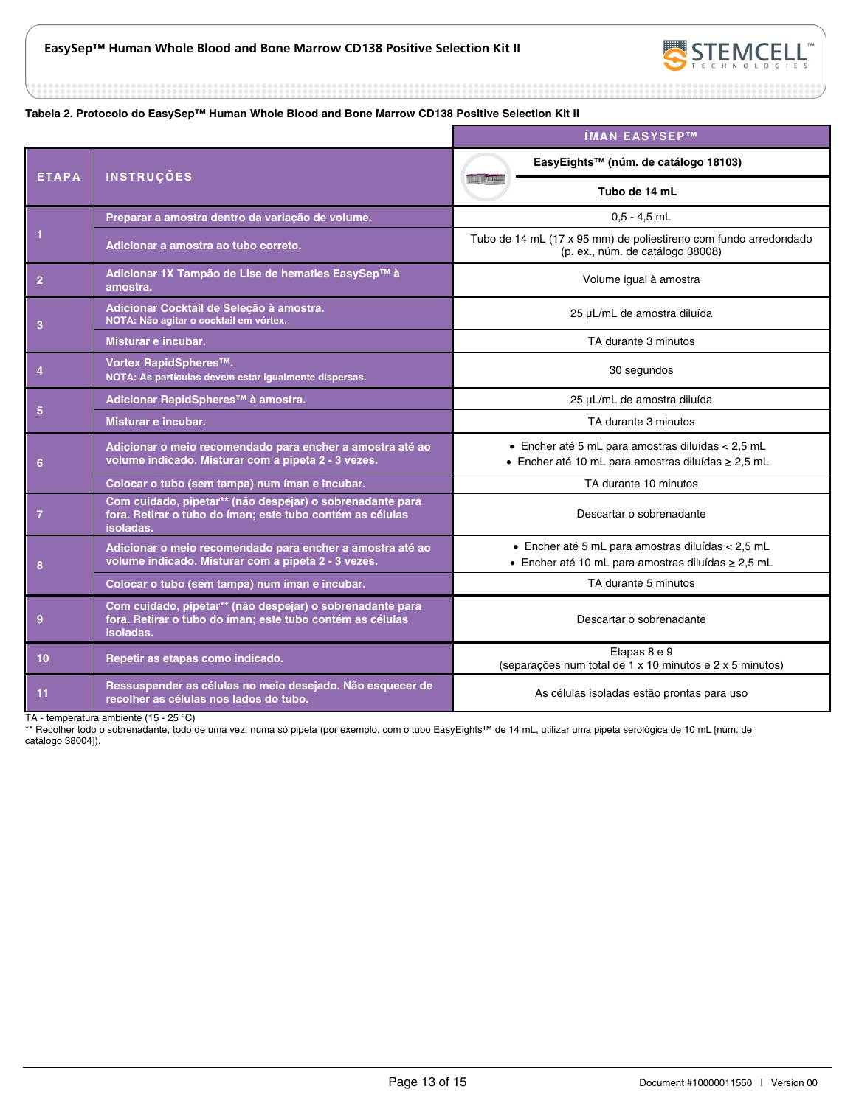

#### **Tabela 2. Protocolo do EasySep™ Human Whole Blood and Bone Marrow CD138 Positive Selection Kit II**

|                |                                                                                                                                     | ÍMAN EASYSEP™                                                                                                  |  |
|----------------|-------------------------------------------------------------------------------------------------------------------------------------|----------------------------------------------------------------------------------------------------------------|--|
| <b>ETAPA</b>   | <b>INSTRUÇÕES</b>                                                                                                                   | EasyEights™ (núm. de catálogo 18103)                                                                           |  |
|                |                                                                                                                                     | Tubo de 14 mL                                                                                                  |  |
|                | Preparar a amostra dentro da variação de volume.                                                                                    | $0.5 - 4.5$ mL                                                                                                 |  |
|                | Adicionar a amostra ao tubo correto.                                                                                                | Tubo de 14 mL (17 x 95 mm) de poliestireno com fundo arredondado<br>(p. ex., núm. de catálogo 38008)           |  |
| $\overline{2}$ | Adicionar 1X Tampão de Lise de hematies EasySep™ à<br>amostra.                                                                      | Volume igual à amostra                                                                                         |  |
| 3              | Adicionar Cocktail de Seleção à amostra.<br>NOTA: Não agitar o cocktail em vórtex.                                                  | 25 µL/mL de amostra diluída                                                                                    |  |
|                | Misturar e incubar.                                                                                                                 | TA durante 3 minutos                                                                                           |  |
|                | Vortex RapidSpheres™.<br>NOTA: As partículas devem estar igualmente dispersas.                                                      | 30 segundos                                                                                                    |  |
|                | Adicionar RapidSpheres™ à amostra.                                                                                                  | 25 µL/mL de amostra diluída                                                                                    |  |
| 5              | Misturar e incubar.                                                                                                                 | TA durante 3 minutos                                                                                           |  |
| 6              | Adicionar o meio recomendado para encher a amostra até ao<br>volume indicado. Misturar com a pipeta 2 - 3 vezes.                    | • Encher até 5 mL para amostras diluídas $<$ 2,5 mL<br>• Encher até 10 mL para amostras diluídas $\geq 2.5$ mL |  |
|                | Colocar o tubo (sem tampa) num íman e incubar.                                                                                      | TA durante 10 minutos                                                                                          |  |
| 7              | Com cuidado, pipetar** (não despejar) o sobrenadante para<br>fora. Retirar o tubo do íman; este tubo contém as células<br>isoladas. | Descartar o sobrenadante                                                                                       |  |
| 8              | Adicionar o meio recomendado para encher a amostra até ao<br>volume indicado. Misturar com a pipeta 2 - 3 vezes.                    | · Encher até 5 mL para amostras diluídas < 2,5 mL<br>• Encher até 10 mL para amostras diluídas $\geq 2.5$ mL   |  |
|                | Colocar o tubo (sem tampa) num íman e incubar.                                                                                      | TA durante 5 minutos                                                                                           |  |
| 9              | Com cuidado, pipetar** (não despejar) o sobrenadante para<br>fora. Retirar o tubo do íman; este tubo contém as células<br>isoladas. | Descartar o sobrenadante                                                                                       |  |
| 10             | Repetir as etapas como indicado.                                                                                                    | Etapas 8 e 9<br>(separações num total de 1 x 10 minutos e 2 x 5 minutos)                                       |  |
| 11             | Ressuspender as células no meio desejado. Não esquecer de<br>recolher as células nos lados do tubo.                                 | As células isoladas estão prontas para uso                                                                     |  |

TA - temperatura ambiente (15 - 25 °C)

\*\* Recolher todo o sobrenadante, todo de uma vez, numa só pipeta (por exemplo, com o tubo EasyEights™ de 14 mL, utilizar uma pipeta serológica de 10 mL [núm. de catálogo 38004]).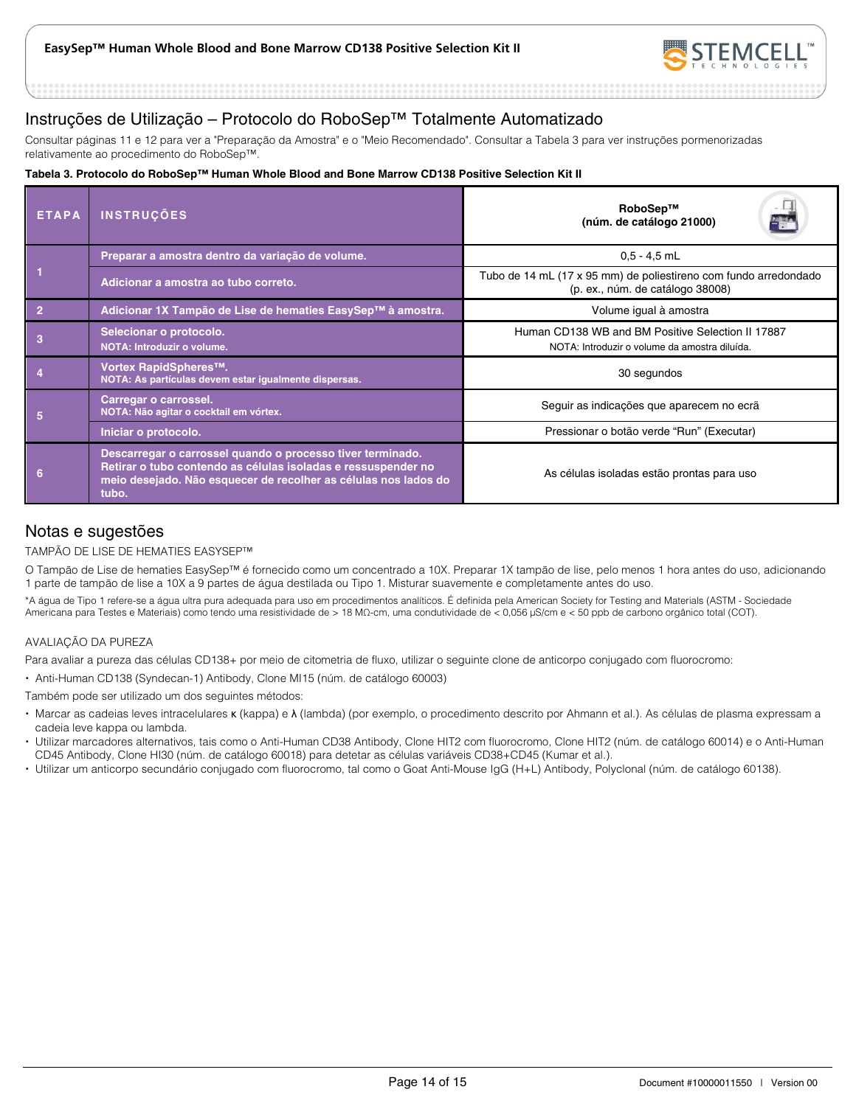

## Instruções de Utilização – Protocolo do RoboSep™ Totalmente Automatizado

Consultar páginas 11 e 12 para ver a "Preparação da Amostra" e o "Meio Recomendado". Consultar a Tabela 3 para ver instruções pormenorizadas relativamente ao procedimento do RoboSep™.

#### **Tabela 3. Protocolo do RoboSep™ Human Whole Blood and Bone Marrow CD138 Positive Selection Kit II**

| <b>ETAPA</b> | <b>INSTRUÇÕES</b>                                                                                                                                                                                       | RoboSep™<br>(núm. de catálogo 21000)                                                                 |  |  |
|--------------|---------------------------------------------------------------------------------------------------------------------------------------------------------------------------------------------------------|------------------------------------------------------------------------------------------------------|--|--|
|              | Preparar a amostra dentro da variação de volume.                                                                                                                                                        | $0.5 - 4.5$ mL                                                                                       |  |  |
|              | Adicionar a amostra ao tubo correto.                                                                                                                                                                    | Tubo de 14 mL (17 x 95 mm) de poliestireno com fundo arredondado<br>(p. ex., núm. de catálogo 38008) |  |  |
|              | Adicionar 1X Tampão de Lise de hematies EasySep™ à amostra.                                                                                                                                             | Volume igual à amostra                                                                               |  |  |
| 3            | Selecionar o protocolo.<br>NOTA: Introduzir o volume.                                                                                                                                                   | Human CD138 WB and BM Positive Selection II 17887<br>NOTA: Introduzir o volume da amostra diluída.   |  |  |
|              | Vortex RapidSpheres™.<br>NOTA: As partículas devem estar igualmente dispersas.                                                                                                                          | 30 segundos                                                                                          |  |  |
| 5            | Carregar o carrossel.<br>NOTA: Não agitar o cocktail em vórtex.                                                                                                                                         | Seguir as indicações que aparecem no ecrã                                                            |  |  |
|              | Iniciar o protocolo.                                                                                                                                                                                    | Pressionar o botão verde "Run" (Executar)                                                            |  |  |
| 6            | Descarregar o carrossel quando o processo tiver terminado.<br>Retirar o tubo contendo as células isoladas e ressuspender no<br>meio desejado. Não esquecer de recolher as células nos lados do<br>tubo. | As células isoladas estão prontas para uso                                                           |  |  |

## Notas e sugestões

#### TAMPÃO DE LISE DE HEMATIES EASYSEP™

O Tampão de Lise de hematies EasySep™ é fornecido como um concentrado a 10X. Preparar 1X tampão de lise, pelo menos 1 hora antes do uso, adicionando 1 parte de tampão de lise a 10X a 9 partes de água destilada ou Tipo 1. Misturar suavemente e completamente antes do uso.

\*A água de Tipo 1 refere-se a água ultra pura adequada para uso em procedimentos analíticos. É definida pela American Society for Testing and Materials (ASTM - Sociedade Americana para Testes e Materiais) como tendo uma resistividade de > 18 MΩ-cm, uma condutividade de < 0,056 μS/cm e < 50 ppb de carbono orgânico total (COT).

#### AVALIAÇÃO DA PUREZA

Para avaliar a pureza das células CD138+ por meio de citometria de fluxo, utilizar o seguinte clone de anticorpo conjugado com fluorocromo:

Anti-Human CD138 (Syndecan-1) Antibody, Clone MI15 (núm. de catálogo 60003)

Também pode ser utilizado um dos seguintes métodos:

- Marcar as cadeias leves intracelulares κ (kappa) e λ (lambda) (por exemplo, o procedimento descrito por Ahmann et al.). As células de plasma expressam a cadeia leve kappa ou lambda.
- Utilizar marcadores alternativos, tais como o Anti-Human CD38 Antibody, Clone HIT2 com fluorocromo, Clone HIT2 (núm. de catálogo 60014) e o Anti-Human CD45 Antibody, Clone HI30 (núm. de catálogo 60018) para detetar as células variáveis CD38+CD45 (Kumar et al.).
- Utilizar um anticorpo secundário conjugado com fluorocromo, tal como o Goat Anti-Mouse IgG (H+L) Antibody, Polyclonal (núm. de catálogo 60138).